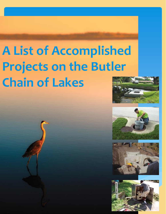# **A List of Accomplished Projects on the Butler Chain of Lakes**







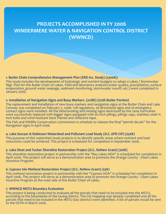# **PROJECTS ACCOMPLISHED IN FY 2006 WINDERMERE WATER & NAVIGATION CONTROL DISTRICT (WWNCD)**

#### **1. Butler Chain Comprehensive Management Plan (ERD Inc. Study) (\$300K):**

This study includes the development of hydrologic and nutrient budgets to adopt a Lakes / Stormwater Mgt. Plan for the Butler Chain of Lakes. Field and laboratory analysis (water quality, precipitation, surface evaporation, ground water seepage, sediment monitoring, stormwater runoff, etc.) were completed in January 2006.

#### **2. Installation of Navigation Signs and Buoy Markers (\$118K) (\$70K Butler Portion)**

The replacement and installation of new buoy markers and navigation signs at the Butler Chain and Lake Conway was completed on February 7, 2006. 128 regulatory, 28 directional signs and 16 emergency contact signs were installed. All the deteriorating and missing signs destroyed by the 2004 hurricanes were successfully replaced with bigger signs equipped with six-inch pilings, pilings caps, stainless steel ¾ inch bolts and wind resistant back frames and reflective tape.

The Fish and Wildlife Conservation Commission is schedule to release the final "permit decals" for the Navigation signs in April 2006.

#### **4. Lake Sawyer & Robinson Watershed and Pollutant Load Study (O.C. EPD CIP) (\$50K)**

This purpose of this watershed study projects is to identify specific areas where nutrient and load reductions could be achieved. This project is scheduled for completion in September 2006.

#### **5. Lake Sloat and Tucker Shoreline Restoration Project (O.C. ReNew Grant) (\$16K)**

This shoreline restoration project in partnership with the "Bay Lakes HOA" is scheduled for completion in April 2006. This project will serve as a demonstration area to promote the Orange County - Clean Lakes Incentive Program.

#### **6. Cypress Isle Wetland Restoration Project (O.C. ReNew Grant) (\$5K)**

This wetland restoration project in partnership with the "Cypress HOA" is scheduled for completion in April 2006. This project will serve as a demonstration area to promote the Orange County - Clean Lakes Incentive Program at the west side of the Butler Chain of Lakes.

#### **7. WWNCD MSTU Boundary Evaluation**

This project is being conducted to evaluate all the parcels that need to be included into the MSTU, according to the boundaries of the taxing district. The GIS mapping was already completed and all the parcels that need to be included in the MSTU (tax district) were identified. A list of parcels would be sent to the OCPA in March 2006.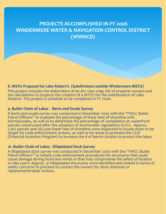# **PROJECTS ACCOMPLISHED IN FY 2006 WINDERMERE WATER & NAVIGATION CONTROL DISTRICT (WWNCD)**

# **8. MSTU Proposal for Lake Robert's (Subdivisions outside Windermere MSTU)**

This project includes the elaboration of an Arc view map, list of property owners and tax calculations to propose the creation of a MSTU for the maintenance of Lake Roberts. This project is schedule to be completed in FY 2006.

# **9. Butler Chain of Lakes - Berm and Swale Survey**

A berm and swale survey was conducted in December 2005 with the "FWCC Butler Patrol Officers" to evaluate the percentage of linear feet of shoreline with berms/swales, as well as to determine the percentage of compliance on waterfront parcels constructed after the adoption of stormwater regulations in O.C. Approx. 1,267 parcels and 267,500 linear feet of shoreline were inspected to locate areas to be target for code enforcement actions, as well as for areas to promote the CLIP (Financial Incentive Program) to increase the # of berms /swales to protect the lakes.

# **10. Butler Chain of Lakes -Dilapidated Dock Survey**

A dilapidated dock survey was conducted in December 2005 with the "FWCC Butler Patrol Officers" to initiate code enforcement procedures for structures that could cause damage during hurricane winds or that may compromise the safety of boaters or lake users. Approx. 31 Dilapidated structures were identified and ranked in terms of safety concerns to proceed to contact the owners for dock removals or replacement/repair actions.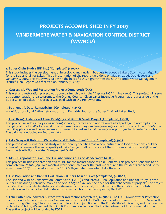# **PROJECTS ACCOMPLISHED IN FY 2007 WINDERMERE WATER & NAVIGATION CONTROL DISTRICT (WWNCD)**

#### **1. Butler Chain Study (ERD Inc.) (Completed) (\$300K):**

This study includes the development of hydrologic and nutrient budgets to adopt a Lakes / Stormwater Mgt. Plan for the Butler Chain of Lakes. Three Presentation of the report were done on May 15, 2006, Dec. 6, 2006 and January 10, 2007. This study was paid with the help of a \$152K grant from the South Florida Water Management District. Final Report was received on January 31, 2007.

#### **2. Cypress Isle Wetland Restoration Project (Completed) (\$5K):**

This wetland restoration project was done partnership with the "Cypress HOA" in May 2006. This project will serve as a demonstration area to promote the Orange County - Clean Lakes Incentive Program at the west side of the Butler Chain of Lakes. This project was paid with an O.C Renew Grant.

#### **3. Bathymetric Data -Rematrix Inc. (Completed) (\$14K):**

Acquisition of digital Bathometric maps from Rematrix, Inc. for the Butler Chain of Lakes Study.

#### **4. Eng. Design Fish-Pocket Canal Dredging and Berm & Swale Project (Completed) (\$48K)**

This project includes surveys, engineering services, permits and elaboration of a bid package to accomplish the dredging of the Fish-Pocket Canal. The cross-section surveys and engineering calculations were done in 2006. The permit application and permit exemption were obtained and a bid package was put together to select a contractor. The bid was conducted on February 17/09.

#### **5. Lake Sawyer & Robinson Watershed and Pollutant Load Study (Completed) (\$50K)**

This purpose of this watershed study was to identify specific areas where nutrient and load reductions could be achieved to preserve the water quality of Lake Sawyer. Half of the cost of the study was paid with a \$25K grant from the South Florida Water Management District.

#### **6. MSBU Proposal for Lake Roberts (Subdivisions outside Windermere MSTU)**

This project includes the creation of a MSBU for the maintenance of Lake Roberts. This project is schedule to be completed in FY 2008/09. Two meeting were conducted over the past months and the residents are schedule to vote in June 2007 for the adoption of a 0.287 Millage Rate to maintain Lake Roberts.

#### **7. Fish Population and Habitat Evaluation – Butler Chain of Lakes (completed) (~ \$100K)**

The Fish and Wildlife Conservation Commission (FWCC) conducted a "Fish Population and Habitat Study" at the Butler Chain during February, March and April 2007 to evaluate the need for fish enhancement projects. The project included the use of electro-fishing and extensive fish tissue analysis to determine the condition of the fish population and specific habitat restoration projects. This project was paid by the FWCC.

**8. Lake Butler Groundwater-surface water interaction (completed) (~ \$80K)**: The FDEP Groundwater Protection Section conducted a surface water / groundwater study at Lake Butler, as part of a six lakes study from Gainesville down through Sebring. The study was completed in conjunction with the Florida State University, and the direction of Jennifer Gihring, Watershed Planning & Coordination Section (Florida Department of Environmental Protection). The entire project will be funded by FDEP.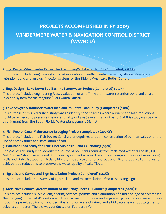# **PROJECTS ACCOMPLISHED IN FY 2009 WINDERMERE WATER & NAVIGATION CONTROL DISTRICT (WWNCD)**

# **1. Eng. Design -Stormwater Project for the Tilden/W. Lake Butler Rd. (Completed) (\$37K)**

This project included engineering and cost evaluation of wetland enhancements, off-line stormwater retention pond and an alum injection system for the Tilden / West Lake Butler Outfall.

## **2. Eng. Design – Lake Down Sub-Basin 15 Stormwater Project (Completed) (\$37K)**

This project included engineering /cost evaluation of an off-line stormwater retention pond and an alum injection system for the Maguire / Park Gotha Outfall.

## **3. Lake Sawyer & Robinson Watershed and Pollutant Load Study (Completed) (\$50K)**

This purpose of this watershed study was to identify specific areas where nutrient and load reductions could be achieved to preserve the water quality of Lake Sawyer. Half of the cost of this study was paid with a \$25K grant from the South Florida Water Management District.

## **4. Fish-Pocket Canal Maintenance Dredging Project (completed) \$200K)):**

This project included the Fish-Pocket Canal water depth restoration, construction of berms/swales with the use of geotex tubes and installation of sod

## **5. Pollutant Load Study for Lake Tibet Sub-basin 1 and 2 (Pending) (\$50K)**

The goal of this study is to identify the source of pollutants coming from reclaimed water at the Bay Hill Golf Course / stormwater runoff from nearby residential area. The study encompass the use of monitoring wells and stable isotopes analysis to identify the source of phosphorous and nitrogen; as well as means to achieve load reductions to preserve the water quality of Lake Tibet.

## **6. Egret Island Survey and Sign Installation Project (Completed) (\$12K):**

This project included the Survey of Egret Island and the installation of no trespassing signs

# **7. Melaleuca Removal /Reforestation of the Sandy Shores – L.Butler (Completed) (\$20K)):**

This project included surveys, engineering services, permits and elaboration of a bid package to accomplish the dredging of the Fish-Pocket Canal. The cross-section surveys and engineering calculations were done in 2006. The permit application and permit exemption were obtained and a bid package was put together to select a contractor. The bid was conducted on February 17/09.